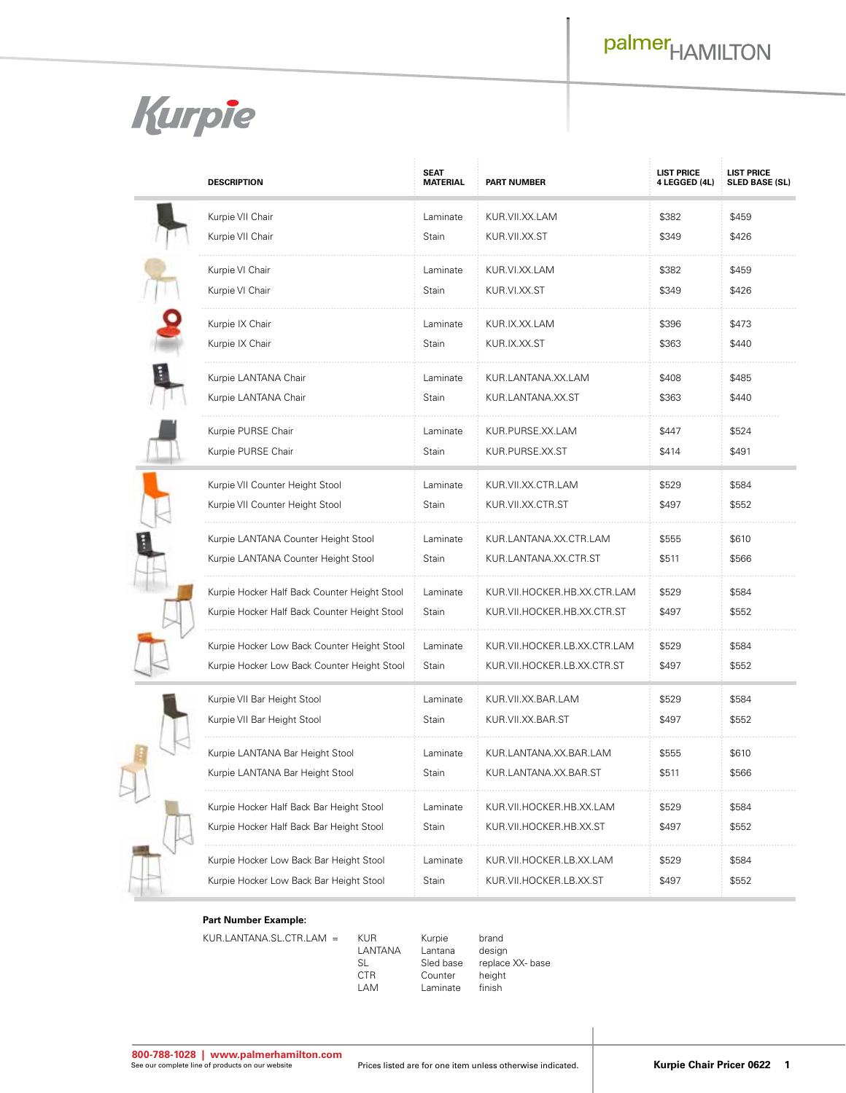

l

|  | <b>DESCRIPTION</b>                                                                           | <b>SEAT</b><br><b>MATERIAL</b> | <b>PART NUMBER</b>                                          | <b>LIST PRICE</b><br>4 LEGGED (4L) | <b>LIST PRICE</b><br><b>SLED BASE (SL)</b> |
|--|----------------------------------------------------------------------------------------------|--------------------------------|-------------------------------------------------------------|------------------------------------|--------------------------------------------|
|  | Kurpie VII Chair<br>Kurpie VII Chair                                                         | Laminate<br>Stain              | KUR.VII.XX.LAM<br>KUR.VII.XX.ST                             | \$382<br>\$349                     | \$459<br>\$426                             |
|  | Kurpie VI Chair<br>Kurpie VI Chair                                                           | Laminate<br>Stain              | KUR.VI.XX.LAM<br>KUR.VI.XX.ST                               | \$382<br>\$349                     | \$459<br>\$426                             |
|  | Kurpie IX Chair<br>Kurpie IX Chair                                                           | Laminate<br>Stain              | KUR.IX.XX.LAM<br>KUR.IX.XX.ST                               | \$396<br>\$363                     | \$473<br>\$440                             |
|  | Kurpie LANTANA Chair<br>Kurpie LANTANA Chair                                                 | Laminate<br>Stain              | KUR.LANTANA.XX.LAM<br>KUR.LANTANA.XX.ST                     | \$408<br>\$363                     | \$485<br>\$440                             |
|  | Kurpie PURSE Chair<br>Kurpie PURSE Chair                                                     | Laminate<br>Stain              | KUR.PURSE.XX.LAM<br>KUR.PURSE.XX.ST                         | \$447<br>\$414                     | \$524<br>\$491                             |
|  | Kurpie VII Counter Height Stool<br>Kurpie VII Counter Height Stool                           | Laminate<br>Stain              | KUR.VII.XX.CTR.LAM<br>KUR.VII.XX.CTR.ST                     | \$529<br>\$497                     | \$584<br>\$552                             |
|  | Kurpie LANTANA Counter Height Stool<br>Kurpie LANTANA Counter Height Stool                   | Laminate<br>Stain              | KUR.LANTANA.XX.CTR.LAM<br>KUR.LANTANA.XX.CTR.ST             | \$555<br>\$511                     | \$610<br>\$566                             |
|  | Kurpie Hocker Half Back Counter Height Stool<br>Kurpie Hocker Half Back Counter Height Stool | Laminate<br>Stain              | KUR.VII.HOCKER.HB.XX.CTR.LAM<br>KUR.VII.HOCKER.HB.XX.CTR.ST | \$529<br>\$497                     | \$584<br>\$552                             |
|  | Kurpie Hocker Low Back Counter Height Stool<br>Kurpie Hocker Low Back Counter Height Stool   | Laminate<br>Stain              | KUR.VII.HOCKER.LB.XX.CTR.LAM<br>KUR.VII.HOCKER.LB.XX.CTR.ST | \$529<br>\$497                     | \$584<br>\$552                             |
|  | Kurpie VII Bar Height Stool<br>Kurpie VII Bar Height Stool                                   | Laminate<br>Stain              | KUR.VII.XX.BAR.LAM<br>KUR.VII.XX.BAR.ST                     | \$529<br>\$497                     | \$584<br>\$552                             |
|  | Kurpie LANTANA Bar Height Stool<br>Kurpie LANTANA Bar Height Stool                           | Laminate<br>Stain              | KUR.LANTANA.XX.BAR.LAM<br>KUR.LANTANA.XX.BAR.ST             | \$555<br>\$511                     | \$610<br>\$566                             |
|  | Kurpie Hocker Half Back Bar Height Stool<br>Kurpie Hocker Half Back Bar Height Stool         | Laminate<br>Stain              | KUR.VII.HOCKER.HB.XX.LAM<br>KUR.VII.HOCKER.HB.XX.ST         | \$529<br>\$497                     | \$584<br>\$552                             |
|  | Kurpie Hocker Low Back Bar Height Stool<br>Kurpie Hocker Low Back Bar Height Stool           | Laminate<br>Stain              | KUR.VII.HOCKER.LB.XX.LAM<br>KUR.VII.HOCKER.LB.XX.ST         | \$529<br>\$497                     | \$584<br>\$552                             |

## **Part Number Example:**

KUR.LANTANA.SL.CTR.LAM = KUR Kurpie brand<br>LANTANA Lantana design

LANTANA Lantana<br>SL Sled base CTR Counter height<br>
LAM Laminate finish

SL Sled base replace XX- base<br>
CTR Counter height

Laminate